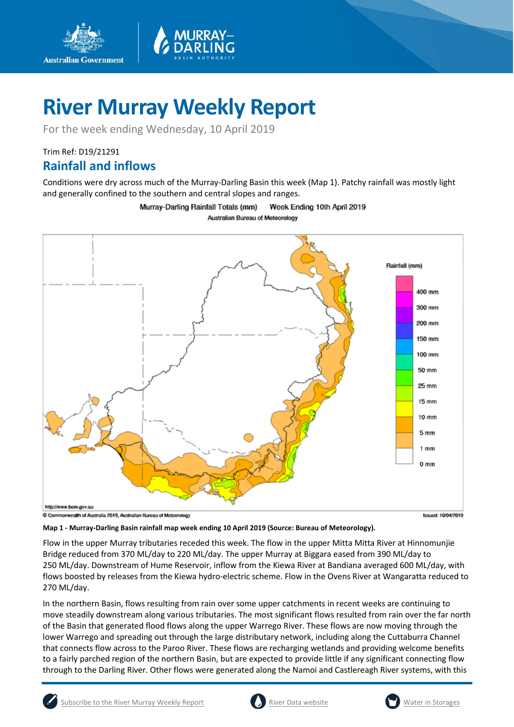

For the week ending Wednesday, 10 April 2019

Trim Ref: D19/21291

**Australian Government** 

### **Rainfall and inflows**

Conditions were dry across much of the Murray-Darling Basin this week (Map 1). Patchy rainfall was mostly light and generally confined to the southern and central slopes and ranges.

> Murray-Darling Rainfall Totals (mm) Week Ending 10th April 2019 Australian Bureau of Meteorology



**Map 1 - Murray-Darling Basin rainfall map week ending 10 April 2019 (Source: Bureau of Meteorology).**

Flow in the upper Murray tributaries receded this week. The flow in the upper Mitta Mitta River at Hinnomunjie Bridge reduced from 370 ML/day to 220 ML/day. The upper Murray at Biggara eased from 390 ML/day to 250 ML/day. Downstream of Hume Reservoir, inflow from the Kiewa River at Bandiana averaged 600 ML/day, with flows boosted by releases from the Kiewa hydro-electric scheme. Flow in the Ovens River at Wangaratta reduced to 270 ML/day.

In the northern Basin, flows resulting from rain over some upper catchments in recent weeks are continuing to move steadily downstream along various tributaries. The most significant flows resulted from rain over the far north of the Basin that generated flood flows along the upper Warrego River. These flows are now moving through the lower Warrego and spreading out through the large distributary network, including along the Cuttaburra Channel that connects flow across to the Paroo River. These flows are recharging wetlands and providing welcome benefits to a fairly parched region of the northern Basin, but are expected to provide little if any significant connecting flow through to the Darling River. Other flows were generated along the Namoi and Castlereagh River systems, with this



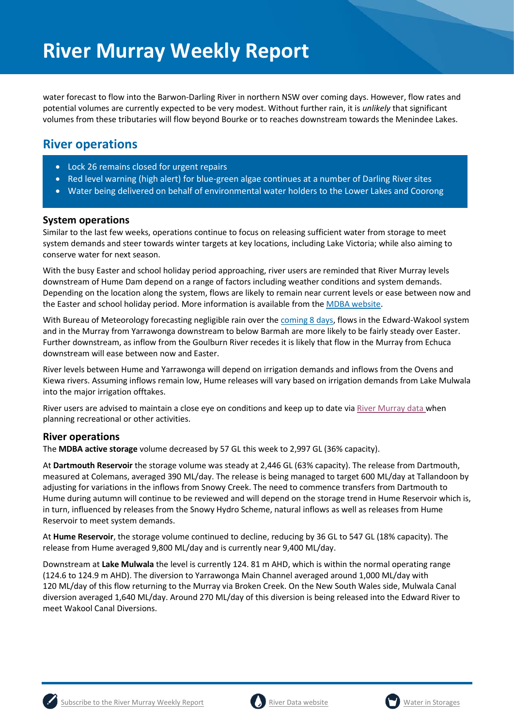water forecast to flow into the Barwon-Darling River in northern NSW over coming days. However, flow rates and potential volumes are currently expected to be very modest. Without further rain, it is *unlikely* that significant volumes from these tributaries will flow beyond Bourke or to reaches downstream towards the Menindee Lakes.

### **River operations**

- Lock 26 remains closed for urgent repairs
- Red level warning (high alert) for blue-green algae continues at a number of Darling River sites
- Water being delivered on behalf of environmental water holders to the Lower Lakes and Coorong

### **System operations**

Similar to the last few weeks, operations continue to focus on releasing sufficient water from storage to meet system demands and steer towards winter targets at key locations, including Lake Victoria; while also aiming to conserve water for next season.

With the busy Easter and school holiday period approaching, river users are reminded that River Murray levels downstream of Hume Dam depend on a range of factors including weather conditions and system demands. Depending on the location along the system, flows are likely to remain near current levels or ease between now and the Easter and school holiday period. More information is available from the [MDBA website.](https://www.mdba.gov.au/media/mr/easter-river-flows-will-depend-weather-demand-water)

With Bureau of Meteorology forecasting negligible rain over the [coming 8 days,](http://www.bom.gov.au/jsp/watl/rainfall/pme.jsp) flows in the Edward-Wakool system and in the Murray from Yarrawonga downstream to below Barmah are more likely to be fairly steady over Easter. Further downstream, as inflow from the Goulburn River recedes it is likely that flow in the Murray from Echuca downstream will ease between now and Easter.

River levels between Hume and Yarrawonga will depend on irrigation demands and inflows from the Ovens and Kiewa rivers. Assuming inflows remain low, Hume releases will vary based on irrigation demands from Lake Mulwala into the major irrigation offtakes.

River users are advised to maintain a close eye on conditions and keep up to date vi[a River Murray data w](https://riverdata.mdba.gov.au/system-view)hen planning recreational or other activities.

### **River operations**

The **MDBA active storage** volume decreased by 57 GL this week to 2,997 GL (36% capacity).

At **Dartmouth Reservoir** the storage volume was steady at 2,446 GL (63% capacity). The release from Dartmouth, measured at Colemans, averaged 390 ML/day. The release is being managed to target 600 ML/day at Tallandoon by adjusting for variations in the inflows from Snowy Creek. The need to commence transfers from Dartmouth to Hume during autumn will continue to be reviewed and will depend on the storage trend in Hume Reservoir which is, in turn, influenced by releases from the Snowy Hydro Scheme, natural inflows as well as releases from Hume Reservoir to meet system demands.

At **Hume Reservoir**, the storage volume continued to decline, reducing by 36 GL to 547 GL (18% capacity). The release from Hume averaged 9,800 ML/day and is currently near 9,400 ML/day.

Downstream at **Lake Mulwala** the level is currently 124. 81 m AHD, which is within the normal operating range (124.6 to 124.9 m AHD). The diversion to Yarrawonga Main Channel averaged around 1,000 ML/day with 120 ML/day of this flow returning to the Murray via Broken Creek. On the New South Wales side, Mulwala Canal diversion averaged 1,640 ML/day. Around 270 ML/day of this diversion is being released into the Edward River to meet Wakool Canal Diversions.





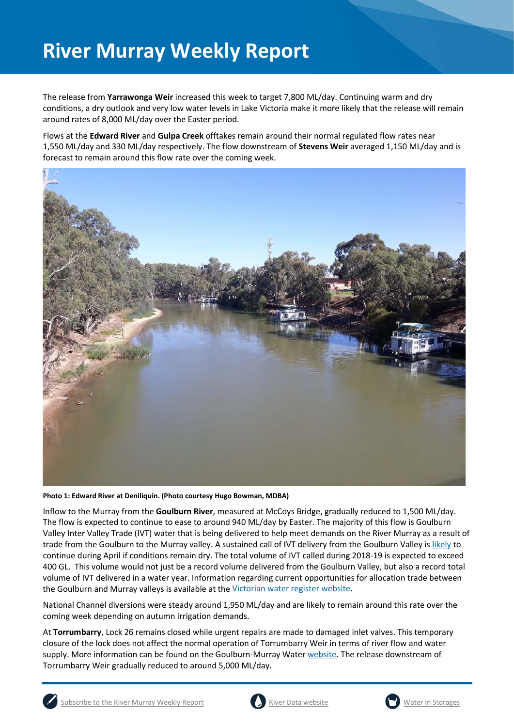The release from **Yarrawonga Weir** increased this week to target 7,800 ML/day. Continuing warm and dry conditions, a dry outlook and very low water levels in Lake Victoria make it more likely that the release will remain around rates of 8,000 ML/day over the Easter period.

Flows at the **Edward River** and **Gulpa Creek** offtakes remain around their normal regulated flow rates near 1,550 ML/day and 330 ML/day respectively. The flow downstream of **Stevens Weir** averaged 1,150 ML/day and is forecast to remain around this flow rate over the coming week.



**Photo 1: Edward River at Deniliquin. (Photo courtesy Hugo Bowman, MDBA)**

Inflow to the Murray from the **Goulburn River**, measured at McCoys Bridge, gradually reduced to 1,500 ML/day. The flow is expected to continue to ease to around 940 ML/day by Easter. The majority of this flow is Goulburn Valley Inter Valley Trade (IVT) water that is being delivered to help meet demands on the River Murray as a result of trade from the Goulburn to the Murray valley. A sustained call of IVT delivery from the Goulburn Valley i[s likely](https://www.g-mwater.com.au/water-resources/managing-water-storages) to continue during April if conditions remain dry. The total volume of IVT called during 2018-19 is expected to exceed 400 GL. This volume would not just be a record volume delivered from the Goulburn Valley, but also a record total volume of IVT delivered in a water year. Information regarding current opportunities for allocation trade between the Goulburn and Murray valleys is available at the [Victorian water register website.](http://waterregister.vic.gov.au/water-trading/allocation-trading#AllocationTradeOpportunities)

National Channel diversions were steady around 1,950 ML/day and are likely to remain around this rate over the coming week depending on autumn irrigation demands.

At **Torrumbarry**, Lock 26 remains closed while urgent repairs are made to damaged inlet valves. This temporary closure of the lock does not affect the normal operation of Torrumbarry Weir in terms of river flow and water supply. More information can be found on the Goulburn-Murray Water [website.](https://www.g-mwater.com.au/news/media-releases1/lock-26-emptied-while-repairs-assessed.html) The release downstream of Torrumbarry Weir gradually reduced to around 5,000 ML/day.



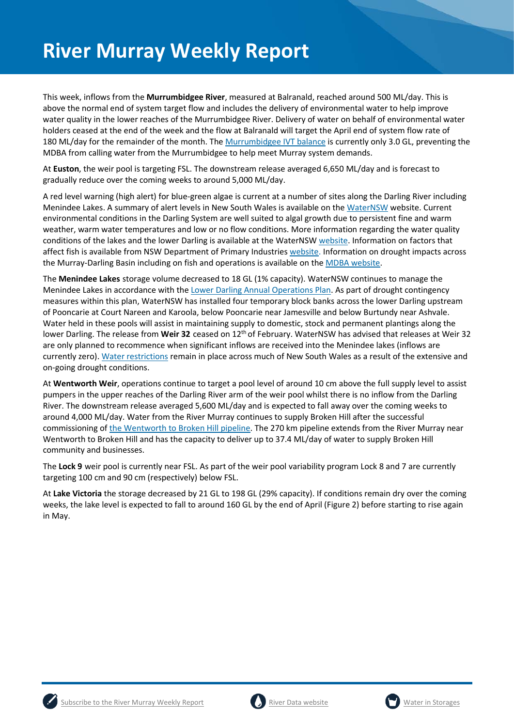This week, inflows from the **Murrumbidgee River**, measured at Balranald, reached around 500 ML/day. This is above the normal end of system target flow and includes the delivery of environmental water to help improve water quality in the lower reaches of the Murrumbidgee River. Delivery of water on behalf of environmental water holders ceased at the end of the week and the flow at Balranald will target the April end of system flow rate of 180 ML/day for the remainder of the month. The [Murrumbidgee IVT balance](http://www.waternsw.com.au/customer-service/ordering-trading-and-pricing/trading/murrumbidgee) is currently only 3.0 GL, preventing the MDBA from calling water from the Murrumbidgee to help meet Murray system demands.

At **Euston**, the weir pool is targeting FSL. The downstream release averaged 6,650 ML/day and is forecast to gradually reduce over the coming weeks to around 5,000 ML/day.

A red level warning (high alert) for blue-green algae is current at a number of sites along the Darling River including Menindee Lakes. A summary of alert levels in New South Wales is available on the [WaterNSW](https://www.waternsw.com.au/water-quality/algae) website. Current environmental conditions in the Darling System are well suited to algal growth due to persistent fine and warm weather, warm water temperatures and low or no flow conditions. More information regarding the water quality conditions of the lakes and the lower Darling is available at the WaterNS[W website.](https://www.waternsw.com.au/about/newsroom?queries_type_query=algal-alerts&search_page_111944_submit_button=Submit¤t_result_page=1&results_per_page=0&submitted_search_category=&mode=) Information on factors that affect fish is available from NSW Department of Primary Industrie[s website.](https://www.dpi.nsw.gov.au/fishing/habitat/threats/fish-kills) Information on drought impacts across the Murray-Darling Basin including on fish and operations is available on the [MDBA website.](https://www.mdba.gov.au/managing-water/drought-murray-darling-basin)

The **Menindee Lakes** storage volume decreased to 18 GL (1% capacity). WaterNSW continues to manage the Menindee Lakes in accordance with the [Lower Darling Annual Operations Plan.](https://www.waternsw.com.au/supply/regional-nsw/operations) As part of drought contingency measures within this plan, WaterNSW has installed four temporary block banks across the lower Darling upstream of Pooncarie at Court Nareen and Karoola, below Pooncarie near Jamesville and below Burtundy near Ashvale. Water held in these pools will assist in maintaining supply to domestic, stock and permanent plantings along the lower Darling. The release from **Weir 32** ceased on 12th of February. WaterNSW has advised that releases at Weir 32 are only planned to recommence when significant inflows are received into the Menindee lakes (inflows are currently zero)[. Water restrictions](https://www.waternsw.com.au/about/newsroom/2018/waternsw-confirms-restrictions-for-lower-darling-customers) remain in place across much of New South Wales as a result of the extensive and on-going drought conditions.

At **Wentworth Weir**, operations continue to target a pool level of around 10 cm above the full supply level to assist pumpers in the upper reaches of the Darling River arm of the weir pool whilst there is no inflow from the Darling River. The downstream release averaged 5,600 ML/day and is expected to fall away over the coming weeks to around 4,000 ML/day. Water from the River Murray continues to supply Broken Hill after the successful commissioning of [the Wentworth to Broken](https://www.waternsw.com.au/__data/assets/pdf_file/0007/141739/Community-Update-March-19.pdf) Hill pipeline. The 270 km pipeline extends from the River Murray near Wentworth to Broken Hill and has the capacity to deliver up to 37.4 ML/day of water to supply Broken Hill community and businesses.

The **Lock 9** weir pool is currently near FSL. As part of the weir pool variability program Lock 8 and 7 are currently targeting 100 cm and 90 cm (respectively) below FSL.

At **Lake Victoria** the storage decreased by 21 GL to 198 GL (29% capacity). If conditions remain dry over the coming weeks, the lake level is expected to fall to around 160 GL by the end of April (Figure 2) before starting to rise again in May.





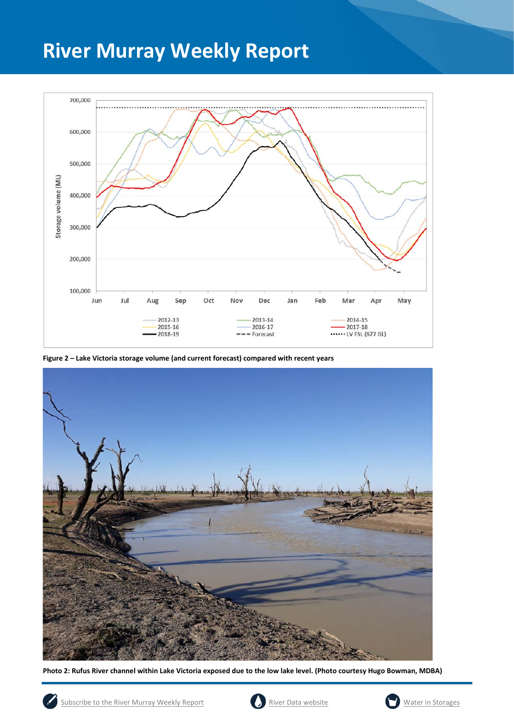

**Figure 2 – Lake Victoria storage volume (and current forecast) compared with recent years**



**Photo 2: Rufus River channel within Lake Victoria exposed due to the low lake level. (Photo courtesy Hugo Bowman, MDBA)**



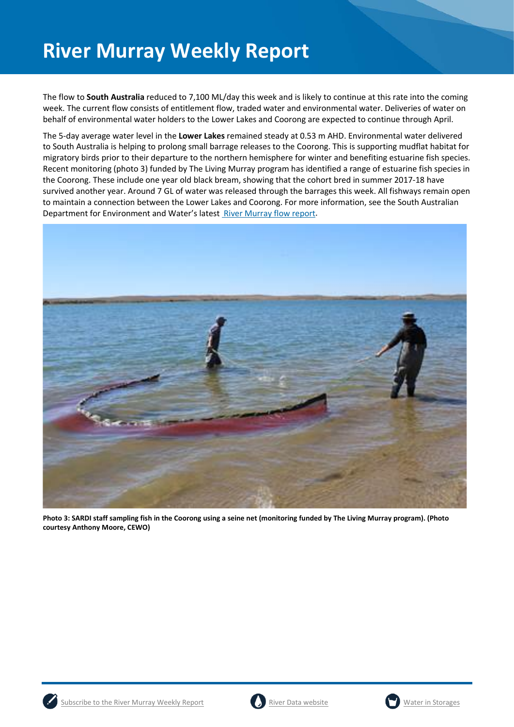The flow to **South Australia** reduced to 7,100 ML/day this week and is likely to continue at this rate into the coming week. The current flow consists of entitlement flow, traded water and environmental water. Deliveries of water on behalf of environmental water holders to the Lower Lakes and Coorong are expected to continue through April.

The 5-day average water level in the **Lower Lakes** remained steady at 0.53 m AHD. Environmental water delivered to South Australia is helping to prolong small barrage releases to the Coorong. This is supporting mudflat habitat for migratory birds prior to their departure to the northern hemisphere for winter and benefiting estuarine fish species. Recent monitoring (photo 3) funded by The Living Murray program has identified a range of estuarine fish species in the Coorong. These include one year old black bream, showing that the cohort bred in summer 2017-18 have survived another year. Around 7 GL of water was released through the barrages this week. All fishways remain open to maintain a connection between the Lower Lakes and Coorong. For more information, see the South Australian Department for Environment and Water's latest [River Murray flow report.](https://www.waterconnect.sa.gov.au/River-Murray/SitePages/2019%20Flow%20Reports.aspx)



**Photo 3: SARDI staff sampling fish in the Coorong using a seine net (monitoring funded by The Living Murray program). (Photo courtesy Anthony Moore, CEWO)**





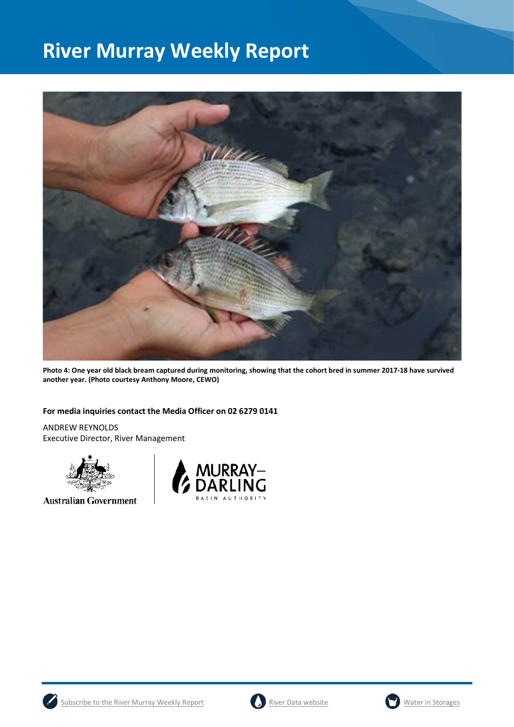

**Photo 4: One year old black bream captured during monitoring, showing that the cohort bred in summer 2017-18 have survived another year. (Photo courtesy Anthony Moore, CEWO)**

#### **For media inquiries contact the Media Officer on 02 6279 0141**

ANDREW REYNOLDS Executive Director, River Management



**Australian Government** 





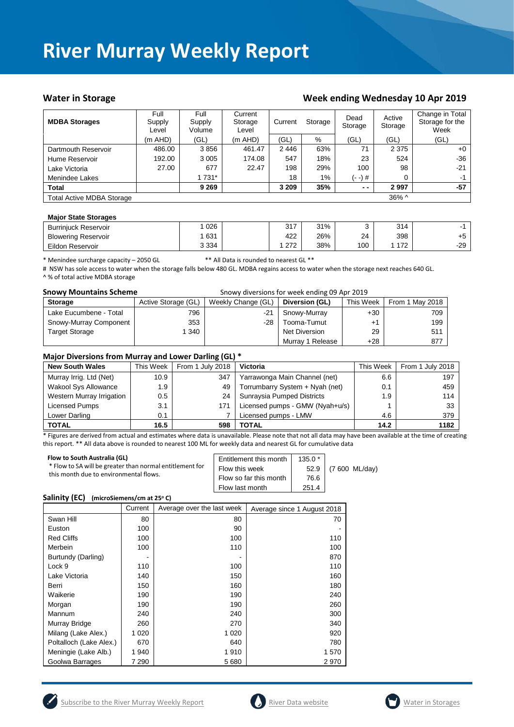#### Water in Storage Water in Storage Week ending Wednesday 10 Apr 2019

| <b>MDBA Storages</b>             | Full<br>Supply<br>Level | Full<br>Supply<br>Volume | Current<br>Storage<br>Level | Current | Storage | Dead<br>Storage | Active<br>Storage | Change in Total<br>Storage for the<br>Week |
|----------------------------------|-------------------------|--------------------------|-----------------------------|---------|---------|-----------------|-------------------|--------------------------------------------|
|                                  | $(m$ AHD)               | (GL)                     | $(m$ AHD)                   | (GL)    | %       | (GL)            | (GL)              | (GL)                                       |
| Dartmouth Reservoir              | 486.00                  | 3856                     | 461.47                      | 2446    | 63%     | 71              | 2 3 7 5           | $+0$                                       |
| Hume Reservoir                   | 192.00                  | 3 0 0 5                  | 174.08                      | 547     | 18%     | 23              | 524               | $-36$                                      |
| Lake Victoria                    | 27.00                   | 677                      | 22.47                       | 198     | 29%     | 100             | 98                | $-21$                                      |
| Menindee Lakes                   |                         | 1 731*                   |                             | 18      | 1%      | (- -) #         | 0                 | $-1$                                       |
| <b>Total</b>                     |                         | 9 2 6 9                  |                             | 3 2 0 9 | 35%     | $ -$            | 2997              | $-57$                                      |
| <b>Total Active MDBA Storage</b> |                         |                          |                             |         |         |                 | $36\%$ ^          |                                            |

#### **Major State Storages**

| <b>Burriniuck Reservoir</b> | 026     | 047<br>، ا ب | 31% |     | 314 |       |
|-----------------------------|---------|--------------|-----|-----|-----|-------|
| <b>Blowering Reservoir</b>  | 631     | 422          | 26% | 24  | 398 | +5    |
| Eildon Reservoir            | 3 3 3 4 | 272          | 38% | 100 | 172 | $-29$ |

\* Menindee surcharge capacity – 2050 GL \*\* All Data is rounded to nearest GL \*\*

# NSW has sole access to water when the storage falls below 480 GL. MDBA regains access to water when the storage next reaches 640 GL. ^ % of total active MDBA storage

| <b>Snowy Mountains Scheme</b> |                     |                    | Snowy diversions for week ending 09 Apr 2019 |           |                 |  |  |
|-------------------------------|---------------------|--------------------|----------------------------------------------|-----------|-----------------|--|--|
| <b>Storage</b>                | Active Storage (GL) | Weekly Change (GL) | Diversion (GL)                               | This Week | From 1 May 2018 |  |  |
| Lake Eucumbene - Total        | 796                 | -21                | Snowy-Murray                                 | $+30$     | 709             |  |  |
| Snowy-Murray Component        | 353                 | -28                | Tooma-Tumut                                  | +1        | 199             |  |  |
| <b>Target Storage</b>         | 340                 |                    | Net Diversion                                | 29        | 511             |  |  |
|                               |                     |                    | Murray 1 Release                             | $+28$     | 877             |  |  |

#### **Major Diversions from Murray and Lower Darling (GL) \***

| <b>New South Wales</b>      | This Week | From 1 July 2018 | <b>Victoria</b>                 | This Week | From 1 July 2018 |
|-----------------------------|-----------|------------------|---------------------------------|-----------|------------------|
| Murray Irrig. Ltd (Net)     | 10.9      | 347              | Yarrawonga Main Channel (net)   | 6.6       | 197              |
| <b>Wakool Sys Allowance</b> | 1.9       | 49               | Torrumbarry System + Nyah (net) | 0.1       | 459              |
| Western Murray Irrigation   | $0.5\,$   | 24               | Sunraysia Pumped Districts      | 1.9       | 114              |
| Licensed Pumps              | 3.1       | 171              | Licensed pumps - GMW (Nyah+u/s) |           | 33               |
| Lower Darling               | 0.1       |                  | Licensed pumps - LMW            | 4.6       | 379              |
| <b>TOTAL</b>                | 16.5      | 598              | TOTAL                           | 14.2      | 1182             |

\* Figures are derived from actual and estimates where data is unavailable. Please note that not all data may have been available at the time of creating this report. \*\* All data above is rounded to nearest 100 ML for weekly data and nearest GL for cumulative data

| Flow to South Australia (GL)                             | Entitlement this month | $135.0*$ |                |
|----------------------------------------------------------|------------------------|----------|----------------|
| * Flow to SA will be greater than normal entitlement for | Flow this week         | 52.9     | (7 600 ML/day) |
| this month due to environmental flows.                   | Flow so far this month | 76.6     |                |
|                                                          | Flow last month        | 251.4    |                |

#### **Salinity (EC)** (microSiemens/cm at 25°C)

|                         | Current | Average over the last week | Average since 1 August 2018 |
|-------------------------|---------|----------------------------|-----------------------------|
| Swan Hill               | 80      | 80                         | 70                          |
| Euston                  | 100     | 90                         |                             |
| <b>Red Cliffs</b>       | 100     | 100                        | 110                         |
| Merbein                 | 100     | 110                        | 100                         |
| Burtundy (Darling)      |         |                            | 870                         |
| Lock 9                  | 110     | 100                        | 110                         |
| Lake Victoria           | 140     | 150                        | 160                         |
| Berri                   | 150     | 160                        | 180                         |
| Waikerie                | 190     | 190                        | 240                         |
| Morgan                  | 190     | 190                        | 260                         |
| Mannum                  | 240     | 240                        | 300                         |
| Murray Bridge           | 260     | 270                        | 340                         |
| Milang (Lake Alex.)     | 1 0 2 0 | 1 0 2 0                    | 920                         |
| Poltalloch (Lake Alex.) | 670     | 640                        | 780                         |
| Meningie (Lake Alb.)    | 1940    | 1910                       | 1 570                       |
| Goolwa Barrages         | 7 2 9 0 | 5680                       | 2970                        |





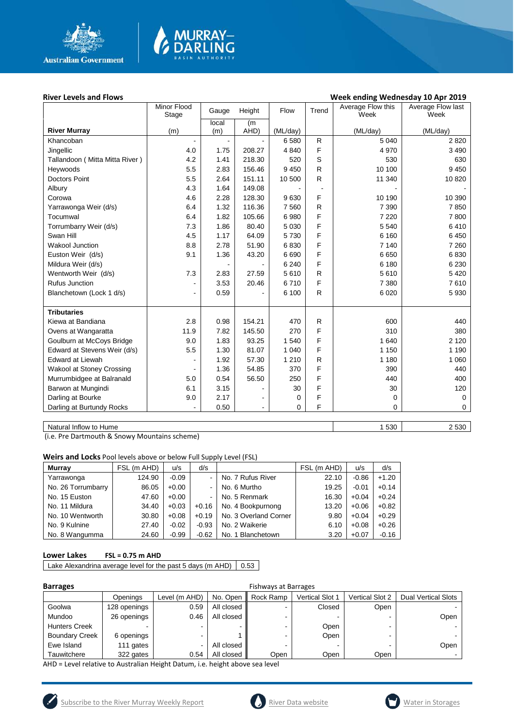

# MURRAY-<br>DARLING

#### River Levels and Flows **River Levels and Flows Week ending Wednesday 10 Apr 2019**

|                                  | Minor Flood              | Gauge | Height         | Flow     | Trend        | Average Flow this<br>Week | Average Flow last<br>Week |
|----------------------------------|--------------------------|-------|----------------|----------|--------------|---------------------------|---------------------------|
|                                  | Stage                    | local | (m)            |          |              |                           |                           |
| <b>River Murray</b>              | (m)                      | (m)   | AHD)           | (ML/day) |              | (ML/day)                  | (ML/day)                  |
| Khancoban                        |                          |       |                | 6580     | R            | 5 0 4 0                   | 2820                      |
| Jingellic                        | 4.0                      | 1.75  | 208.27         | 4840     | F            | 4 9 7 0                   | 3 4 9 0                   |
| Tallandoon ( Mitta Mitta River ) | 4.2                      | 1.41  | 218.30         | 520      | S            | 530                       | 630                       |
| Heywoods                         | 5.5                      | 2.83  | 156.46         | 9 4 5 0  | R            | 10 100                    | 9 4 5 0                   |
| <b>Doctors Point</b>             | 5.5                      | 2.64  | 151.11         | 10 500   | R            | 11 340                    | 10 820                    |
| Albury                           | 4.3                      | 1.64  | 149.08         |          |              |                           |                           |
| Corowa                           | 4.6                      | 2.28  | 128.30         | 9630     | F            | 10 190                    | 10 390                    |
| Yarrawonga Weir (d/s)            | 6.4                      | 1.32  | 116.36         | 7560     | R            | 7 3 9 0                   | 7850                      |
| Tocumwal                         | 6.4                      | 1.82  | 105.66         | 6980     | F            | 7 2 2 0                   | 7800                      |
| Torrumbarry Weir (d/s)           | 7.3                      | 1.86  | 80.40          | 5 0 30   | F            | 5 5 4 0                   | 6410                      |
| Swan Hill                        | 4.5                      | 1.17  | 64.09          | 5730     | F            | 6 1 6 0                   | 6 4 5 0                   |
| <b>Wakool Junction</b>           | 8.8                      | 2.78  | 51.90          | 6830     | F            | 7 1 4 0                   | 7 2 6 0                   |
| Euston Weir (d/s)                | 9.1                      | 1.36  | 43.20          | 6690     | F            | 6650                      | 6830                      |
| Mildura Weir (d/s)               |                          |       |                | 6 2 4 0  | F            | 6 180                     | 6 2 3 0                   |
| Wentworth Weir (d/s)             | 7.3                      | 2.83  | 27.59          | 5610     | R            | 5610                      | 5 4 2 0                   |
| <b>Rufus Junction</b>            | $\overline{\phantom{a}}$ | 3.53  | 20.46          | 6710     | F            | 7 3 8 0                   | 7610                      |
| Blanchetown (Lock 1 d/s)         | $\blacksquare$           | 0.59  |                | 6 100    | $\mathsf{R}$ | 6 0 20                    | 5930                      |
|                                  |                          |       |                |          |              |                           |                           |
| <b>Tributaries</b>               |                          |       |                |          |              |                           |                           |
| Kiewa at Bandiana                | 2.8                      | 0.98  | 154.21         | 470      | R            | 600                       | 440                       |
| Ovens at Wangaratta              | 11.9                     | 7.82  | 145.50         | 270      | F            | 310                       | 380                       |
| Goulburn at McCoys Bridge        | 9.0                      | 1.83  | 93.25          | 1 540    | F            | 1 640                     | 2 1 2 0                   |
| Edward at Stevens Weir (d/s)     | 5.5                      | 1.30  | 81.07          | 1 0 4 0  | F            | 1 1 5 0                   | 1 1 9 0                   |
| <b>Edward at Liewah</b>          |                          | 1.92  | 57.30          | 1 2 1 0  | R            | 1 1 8 0                   | 1 0 6 0                   |
| Wakool at Stoney Crossing        |                          | 1.36  | 54.85          | 370      | F            | 390                       | 440                       |
| Murrumbidgee at Balranald        | 5.0                      | 0.54  | 56.50          | 250      | F            | 440                       | 400                       |
| Barwon at Mungindi               | 6.1                      | 3.15  |                | 30       | F            | 30                        | 120                       |
| Darling at Bourke                | 9.0                      | 2.17  | $\overline{a}$ | 0        | F            | 0                         | $\mathbf 0$               |
| Darling at Burtundy Rocks        |                          | 0.50  | $\blacksquare$ | 0        | F            | 0                         | $\mathbf 0$               |
|                                  |                          |       |                |          |              |                           |                           |

Natural Inflow to Hume 2 530

(i.e. Pre Dartmouth & Snowy Mountains scheme)

**Weirs and Locks** Pool levels above or below Full Supply Level (FSL)

| Murray             | FSL (m AHD) | u/s     | d/s     |                       | FSL (m AHD) | u/s     | d/s     |
|--------------------|-------------|---------|---------|-----------------------|-------------|---------|---------|
| Yarrawonga         | 124.90      | $-0.09$ |         | No. 7 Rufus River     | 22.10       | $-0.86$ | $+1.20$ |
| No. 26 Torrumbarry | 86.05       | $+0.00$ |         | No. 6 Murtho          | 19.25       | $-0.01$ | $+0.14$ |
| No. 15 Euston      | 47.60       | $+0.00$ |         | No. 5 Renmark         | 16.30       | $+0.04$ | $+0.24$ |
| No. 11 Mildura     | 34.40       | $+0.03$ | $+0.16$ | No. 4 Bookpurnong     | 13.20       | $+0.06$ | $+0.82$ |
| No. 10 Wentworth   | 30.80       | $+0.08$ | $+0.19$ | No. 3 Overland Corner | 9.80        | $+0.04$ | $+0.29$ |
| No. 9 Kulnine      | 27.40       | $-0.02$ | $-0.93$ | No. 2 Waikerie        | 6.10        | $+0.08$ | $+0.26$ |
| No. 8 Wangumma     | 24.60       | $-0.99$ | $-0.62$ | No. 1 Blanchetown     | 3.20        | $+0.07$ | $-0.16$ |

#### **Lower Lakes FSL = 0.75 m AHD**

Lake Alexandrina average level for the past 5 days (m AHD)  $\Big| 0.53 \Big|$ 

| <b>Barrages</b>       |              |               |            | <b>Fishways at Barrages</b> |                        |                        |                            |
|-----------------------|--------------|---------------|------------|-----------------------------|------------------------|------------------------|----------------------------|
|                       | Openings     | Level (m AHD) | No. Open   | Rock Ramp                   | <b>Vertical Slot 1</b> | <b>Vertical Slot 2</b> | <b>Dual Vertical Slots</b> |
| Goolwa                | 128 openings | 0.59          | All closed |                             | Closed                 | Open                   |                            |
| Mundoo                | 26 openings  | 0.46          | All closed | -                           | ۰                      |                        | Open                       |
| <b>Hunters Creek</b>  |              | ۰.            | ۰          | -                           | Open                   |                        |                            |
| <b>Boundary Creek</b> | 6 openings   |               |            |                             | Open                   | -                      |                            |
| Ewe Island            | 111 gates    |               | All closed |                             |                        |                        | Open                       |
| Tauwitchere           | 322 gates    | 0.54          | All closed | Open                        | Open                   | Open                   |                            |

AHD = Level relative to Australian Height Datum, i.e. height above sea level